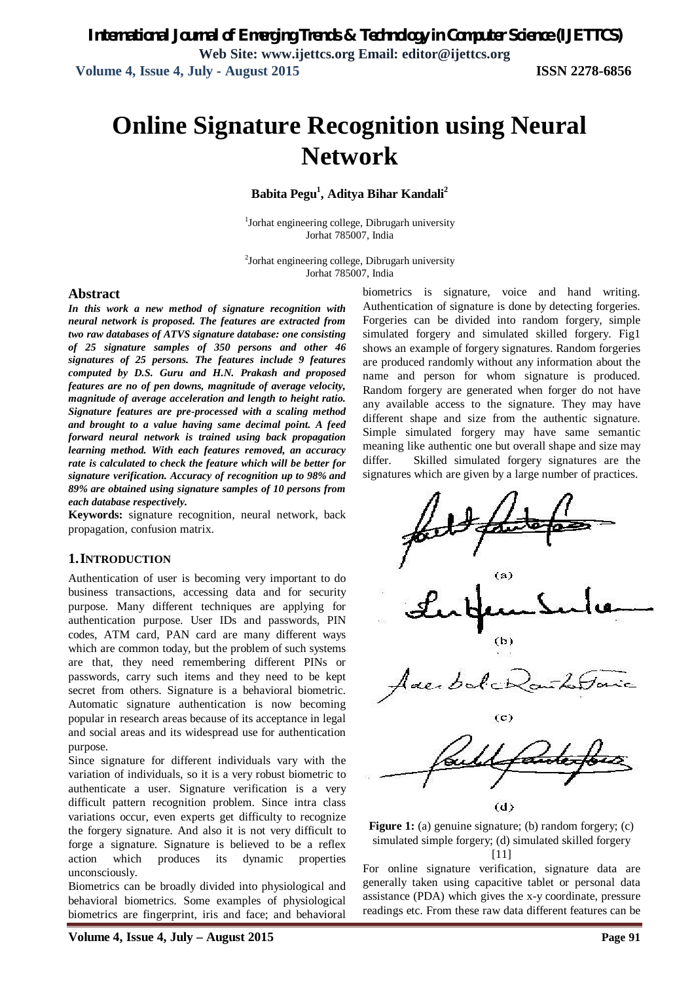# **Online Signature Recognition using Neural Network**

**Babita Pegu<sup>1</sup> , Aditya Bihar Kandali<sup>2</sup>**

1 Jorhat engineering college, Dibrugarh university Jorhat 785007, India

<sup>2</sup>Jorhat engineering college, Dibrugarh university Jorhat 785007, India

#### **Abstract**

*In this work a new method of signature recognition with neural network is proposed. The features are extracted from two raw databases of ATVS signature database: one consisting of 25 signature samples of 350 persons and other 46 signatures of 25 persons. The features include 9 features computed by D.S. Guru and H.N. Prakash and proposed features are no of pen downs, magnitude of average velocity, magnitude of average acceleration and length to height ratio. Signature features are pre-processed with a scaling method and brought to a value having same decimal point. A feed forward neural network is trained using back propagation learning method. With each features removed, an accuracy rate is calculated to check the feature which will be better for signature verification. Accuracy of recognition up to 98% and 89% are obtained using signature samples of 10 persons from each database respectively.*

**Keywords:** signature recognition, neural network, back propagation, confusion matrix.

### **1.INTRODUCTION**

Authentication of user is becoming very important to do business transactions, accessing data and for security purpose. Many different techniques are applying for authentication purpose. User IDs and passwords, PIN codes, ATM card, PAN card are many different ways which are common today, but the problem of such systems are that, they need remembering different PINs or passwords, carry such items and they need to be kept secret from others. Signature is a behavioral biometric. Automatic signature authentication is now becoming popular in research areas because of its acceptance in legal and social areas and its widespread use for authentication purpose.

Since signature for different individuals vary with the variation of individuals, so it is a very robust biometric to authenticate a user. Signature verification is a very difficult pattern recognition problem. Since intra class variations occur, even experts get difficulty to recognize the forgery signature. And also it is not very difficult to forge a signature. Signature is believed to be a reflex action which produces its dynamic properties unconsciously.

Biometrics can be broadly divided into physiological and behavioral biometrics. Some examples of physiological biometrics are fingerprint, iris and face; and behavioral

biometrics is signature, voice and hand writing. Authentication of signature is done by detecting forgeries. Forgeries can be divided into random forgery, simple simulated forgery and simulated skilled forgery. Fig1 shows an example of forgery signatures. Random forgeries are produced randomly without any information about the name and person for whom signature is produced. Random forgery are generated when forger do not have any available access to the signature. They may have different shape and size from the authentic signature. Simple simulated forgery may have same semantic meaning like authentic one but overall shape and size may differ. Skilled simulated forgery signatures are the signatures which are given by a large number of practices.





For online signature verification, signature data are generally taken using capacitive tablet or personal data assistance (PDA) which gives the x-y coordinate, pressure readings etc. From these raw data different features can be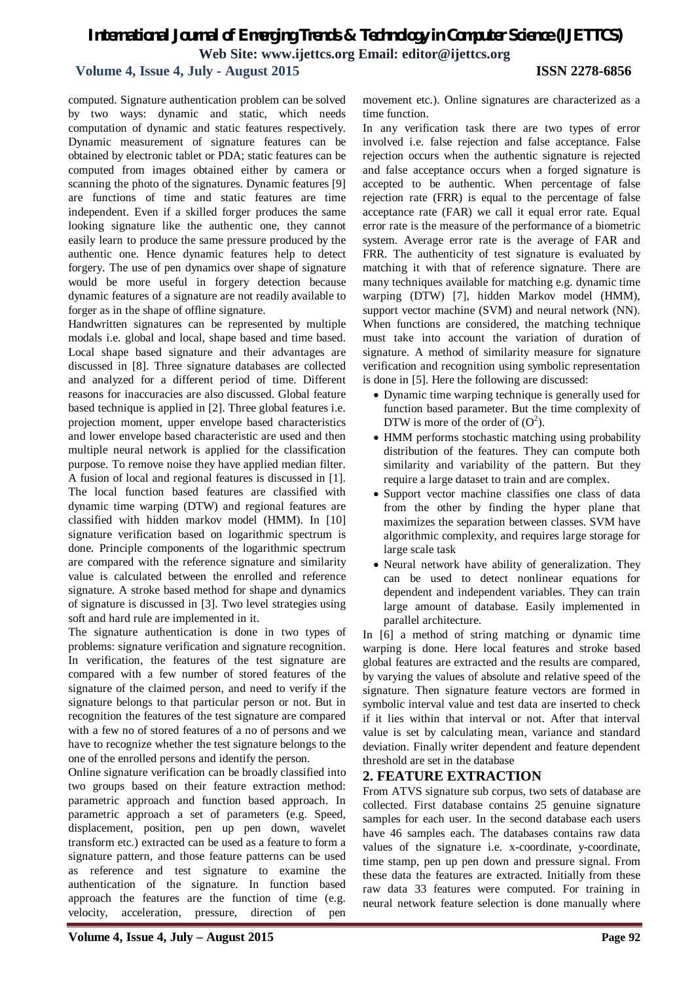## **Volume 4, Issue 4, July - August 2015 ISSN 2278-6856**

computed. Signature authentication problem can be solved by two ways: dynamic and static, which needs computation of dynamic and static features respectively. Dynamic measurement of signature features can be obtained by electronic tablet or PDA; static features can be computed from images obtained either by camera or scanning the photo of the signatures. Dynamic features [9] are functions of time and static features are time independent. Even if a skilled forger produces the same looking signature like the authentic one, they cannot easily learn to produce the same pressure produced by the authentic one. Hence dynamic features help to detect forgery. The use of pen dynamics over shape of signature would be more useful in forgery detection because dynamic features of a signature are not readily available to forger as in the shape of offline signature.

Handwritten signatures can be represented by multiple modals i.e. global and local, shape based and time based. Local shape based signature and their advantages are discussed in [8]. Three signature databases are collected and analyzed for a different period of time. Different reasons for inaccuracies are also discussed. Global feature based technique is applied in [2]. Three global features i.e. projection moment, upper envelope based characteristics and lower envelope based characteristic are used and then multiple neural network is applied for the classification purpose. To remove noise they have applied median filter. A fusion of local and regional features is discussed in [1]. The local function based features are classified with dynamic time warping (DTW) and regional features are classified with hidden markov model (HMM). In [10] signature verification based on logarithmic spectrum is done. Principle components of the logarithmic spectrum are compared with the reference signature and similarity value is calculated between the enrolled and reference signature. A stroke based method for shape and dynamics of signature is discussed in [3]. Two level strategies using soft and hard rule are implemented in it.

The signature authentication is done in two types of problems: signature verification and signature recognition. In verification, the features of the test signature are compared with a few number of stored features of the signature of the claimed person, and need to verify if the signature belongs to that particular person or not. But in recognition the features of the test signature are compared with a few no of stored features of a no of persons and we have to recognize whether the test signature belongs to the one of the enrolled persons and identify the person.

Online signature verification can be broadly classified into two groups based on their feature extraction method: parametric approach and function based approach. In parametric approach a set of parameters (e.g. Speed, displacement, position, pen up pen down, wavelet transform etc.) extracted can be used as a feature to form a signature pattern, and those feature patterns can be used as reference and test signature to examine the authentication of the signature. In function based approach the features are the function of time (e.g. velocity, acceleration, pressure, direction of pen

In any verification task there are two types of error involved i.e. false rejection and false acceptance. False rejection occurs when the authentic signature is rejected and false acceptance occurs when a forged signature is accepted to be authentic. When percentage of false rejection rate (FRR) is equal to the percentage of false acceptance rate (FAR) we call it equal error rate. Equal error rate is the measure of the performance of a biometric system. Average error rate is the average of FAR and FRR. The authenticity of test signature is evaluated by matching it with that of reference signature. There are many techniques available for matching e.g. dynamic time warping (DTW) [7], hidden Markov model (HMM), support vector machine (SVM) and neural network (NN). When functions are considered, the matching technique must take into account the variation of duration of signature. A method of similarity measure for signature verification and recognition using symbolic representation is done in [5]. Here the following are discussed:

- Dynamic time warping technique is generally used for function based parameter. But the time complexity of DTW is more of the order of  $(O<sup>2</sup>)$ .
- HMM performs stochastic matching using probability distribution of the features. They can compute both similarity and variability of the pattern. But they require a large dataset to train and are complex.
- Support vector machine classifies one class of data from the other by finding the hyper plane that maximizes the separation between classes. SVM have algorithmic complexity, and requires large storage for large scale task
- Neural network have ability of generalization. They can be used to detect nonlinear equations for dependent and independent variables. They can train large amount of database. Easily implemented in parallel architecture.

In [6] a method of string matching or dynamic time warping is done. Here local features and stroke based global features are extracted and the results are compared, by varying the values of absolute and relative speed of the signature. Then signature feature vectors are formed in symbolic interval value and test data are inserted to check if it lies within that interval or not. After that interval value is set by calculating mean, variance and standard deviation. Finally writer dependent and feature dependent threshold are set in the database

## **2. FEATURE EXTRACTION**

From ATVS signature sub corpus, two sets of database are collected. First database contains 25 genuine signature samples for each user. In the second database each users have 46 samples each. The databases contains raw data values of the signature i.e. x-coordinate, y-coordinate, time stamp, pen up pen down and pressure signal. From these data the features are extracted. Initially from these raw data 33 features were computed. For training in neural network feature selection is done manually where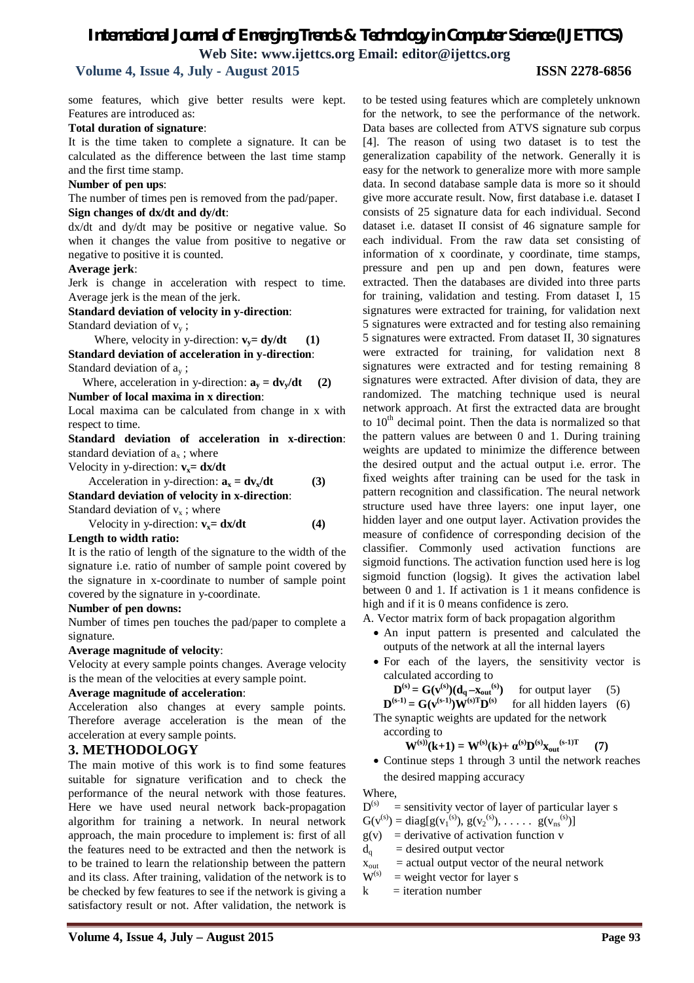### **Volume 4, Issue 4, July - August 2015 ISSN 2278-6856**

some features, which give better results were kept. Features are introduced as:

#### **Total duration of signature**:

It is the time taken to complete a signature. It can be calculated as the difference between the last time stamp and the first time stamp.

#### **Number of pen ups**:

The number of times pen is removed from the pad/paper.

#### **Sign changes of dx/dt and dy/dt**:

dx/dt and dy/dt may be positive or negative value. So when it changes the value from positive to negative or negative to positive it is counted.

#### **Average jerk**:

Jerk is change in acceleration with respect to time. Average jerk is the mean of the jerk.

#### **Standard deviation of velocity in y-direction**:

Standard deviation of  $v_y$ ;

Where, velocity in y-direction:  $\mathbf{v}_v = \mathbf{dy}/\mathbf{dt}$  (1) **Standard deviation of acceleration in y-direction**:

Standard deviation of  $a_v$ ;

Where, acceleration in y-direction:  $\mathbf{a}_v = \mathbf{d}\mathbf{v}_v/\mathbf{d}\mathbf{t}$  (2)

**Number of local maxima in x direction**:

Local maxima can be calculated from change in x with respect to time.

**Standard deviation of acceleration in x-direction**: standard deviation of  $a_x$ ; where

Velocity in y-direction:  $v_x = dx/dt$ 

Acceleration in y-direction:  $\mathbf{a_x} = \mathbf{dv_x/dt}$  (3)

**Standard deviation of velocity in x-direction**:

Standard deviation of  $v_x$ ; where

$$
Velocity in y-direction: \mathbf{v}_x = \mathbf{dx}/\mathbf{dt}
$$
 (4)

#### **Length to width ratio:**

It is the ratio of length of the signature to the width of the signature i.e. ratio of number of sample point covered by the signature in x-coordinate to number of sample point covered by the signature in y-coordinate.

#### **Number of pen downs:**

Number of times pen touches the pad/paper to complete a signature.

#### **Average magnitude of velocity**:

Velocity at every sample points changes. Average velocity is the mean of the velocities at every sample point.

#### **Average magnitude of acceleration**:

Acceleration also changes at every sample points. Therefore average acceleration is the mean of the acceleration at every sample points.

### **3. METHODOLOGY**

The main motive of this work is to find some features suitable for signature verification and to check the performance of the neural network with those features. Here we have used neural network back-propagation algorithm for training a network. In neural network approach, the main procedure to implement is: first of all the features need to be extracted and then the network is to be trained to learn the relationship between the pattern and its class. After training, validation of the network is to be checked by few features to see if the network is giving a satisfactory result or not. After validation, the network is

to be tested using features which are completely unknown for the network, to see the performance of the network. Data bases are collected from ATVS signature sub corpus [4]. The reason of using two dataset is to test the generalization capability of the network. Generally it is easy for the network to generalize more with more sample data. In second database sample data is more so it should give more accurate result. Now, first database i.e. dataset I consists of 25 signature data for each individual. Second dataset i.e. dataset II consist of 46 signature sample for each individual. From the raw data set consisting of information of x coordinate, y coordinate, time stamps, pressure and pen up and pen down, features were extracted. Then the databases are divided into three parts for training, validation and testing. From dataset I, 15 signatures were extracted for training, for validation next 5 signatures were extracted and for testing also remaining 5 signatures were extracted. From dataset II, 30 signatures were extracted for training, for validation next 8 signatures were extracted and for testing remaining 8 signatures were extracted. After division of data, they are randomized. The matching technique used is neural network approach. At first the extracted data are brought to  $10<sup>th</sup>$  decimal point. Then the data is normalized so that the pattern values are between 0 and 1. During training weights are updated to minimize the difference between the desired output and the actual output i.e. error. The fixed weights after training can be used for the task in pattern recognition and classification. The neural network structure used have three layers: one input layer, one hidden layer and one output layer. Activation provides the measure of confidence of corresponding decision of the classifier. Commonly used activation functions are sigmoid functions. The activation function used here is log sigmoid function (logsig). It gives the activation label between 0 and 1. If activation is 1 it means confidence is high and if it is 0 means confidence is zero.

A. Vector matrix form of back propagation algorithm

- An input pattern is presented and calculated the outputs of the network at all the internal layers
- For each of the layers, the sensitivity vector is calculated according to

$$
\mathbf{D}^{(s)} = \mathbf{G}(\mathbf{v}^{(s)})(\mathbf{d}_{\mathbf{q}} - \mathbf{x}_{out}^{(s)}) \quad \text{for output layer} \quad (5)
$$
  

$$
\mathbf{D}^{(s-1)} = \mathbf{G}(\mathbf{v}^{(s-1)})\mathbf{W}^{(s)T}\mathbf{D}^{(s)} \quad \text{for all hidden layers} \quad (6)
$$

 for all hidden layers (6) The synaptic weights are updated for the network according to

 $W^{(s)}(k+1) = W^{(s)}(k) + \alpha^{(s)}D^{(s)}x_{out}^{(s-1)T}$  (7)

• Continue steps 1 through 3 until the network reaches the desired mapping accuracy

Where,

 $D^{(s)}$  $=$  sensitivity vector of layer of particular layer s

- $G(v^{(s)}) = diag[g(v_1^{(s)}), g(v_2^{(s)}), \ldots, g(v_{ns}^{(s)})]$
- $g(v) =$  derivative of activation function v
- $d_q$  = desired output vector
- $x_{\text{out}}$  = actual output vector of the neural network<br>  $W^{(s)}$  = weight vector for laver s
- $=$  weight vector for layer s
- $k =$ iteration number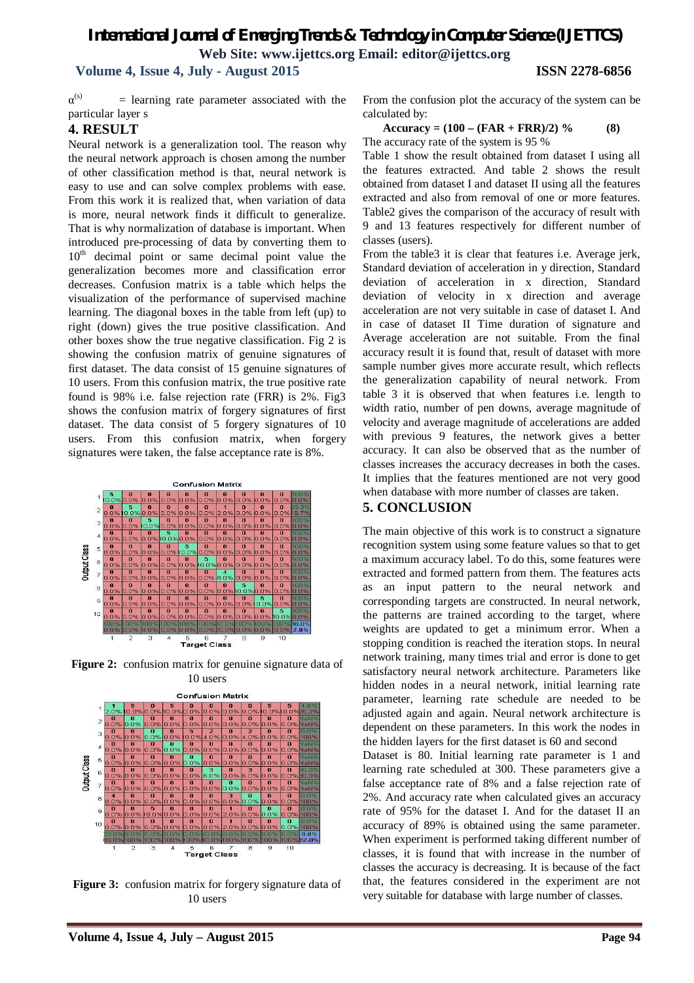## **Volume 4, Issue 4, July - August 2015 ISSN 2278-6856**

 $\alpha^{(s)}$  = learning rate parameter associated with the particular layer s

## **4. RESULT**

Neural network is a generalization tool. The reason why the neural network approach is chosen among the number of other classification method is that, neural network is easy to use and can solve complex problems with ease. From this work it is realized that, when variation of data is more, neural network finds it difficult to generalize. That is why normalization of database is important. When introduced pre-processing of data by converting them to  $10<sup>th</sup>$  decimal point or same decimal point value the generalization becomes more and classification error decreases. Confusion matrix is a table which helps the visualization of the performance of supervised machine learning. The diagonal boxes in the table from left (up) to right (down) gives the true positive classification. And other boxes show the true negative classification. Fig 2 is showing the confusion matrix of genuine signatures of first dataset. The data consist of 15 genuine signatures of 10 users. From this confusion matrix, the true positive rate found is 98% i.e. false rejection rate (FRR) is 2%. Fig3 shows the confusion matrix of forgery signatures of first dataset. The data consist of 5 forgery signatures of 10 users. From this confusion matrix, when forgery signatures were taken, the false acceptance rate is 8%.



Figure 2: confusion matrix for genuine signature data of 10 users



**Figure 3:** confusion matrix for forgery signature data of 10 users

From the confusion plot the accuracy of the system can be calculated by:

#### **Accuracy = (100 – (FAR + FRR)/2) % (8)**

The accuracy rate of the system is 95 %

Table 1 show the result obtained from dataset I using all the features extracted. And table 2 shows the result obtained from dataset I and dataset II using all the features extracted and also from removal of one or more features. Table2 gives the comparison of the accuracy of result with 9 and 13 features respectively for different number of classes (users).

From the table3 it is clear that features i.e. Average jerk, Standard deviation of acceleration in y direction, Standard deviation of acceleration in x direction, Standard deviation of velocity in x direction and average acceleration are not very suitable in case of dataset I. And in case of dataset II Time duration of signature and Average acceleration are not suitable. From the final accuracy result it is found that, result of dataset with more sample number gives more accurate result, which reflects the generalization capability of neural network. From table 3 it is observed that when features i.e. length to width ratio, number of pen downs, average magnitude of velocity and average magnitude of accelerations are added with previous 9 features, the network gives a better accuracy. It can also be observed that as the number of classes increases the accuracy decreases in both the cases. It implies that the features mentioned are not very good when database with more number of classes are taken.

## **5. CONCLUSION**

The main objective of this work is to construct a signature recognition system using some feature values so that to get a maximum accuracy label. To do this, some features were extracted and formed pattern from them. The features acts as an input pattern to the neural network and corresponding targets are constructed. In neural network, the patterns are trained according to the target, where weights are updated to get a minimum error. When a stopping condition is reached the iteration stops. In neural network training, many times trial and error is done to get satisfactory neural network architecture. Parameters like hidden nodes in a neural network, initial learning rate parameter, learning rate schedule are needed to be adjusted again and again. Neural network architecture is dependent on these parameters. In this work the nodes in the hidden layers for the first dataset is 60 and second Dataset is 80. Initial learning rate parameter is 1 and learning rate scheduled at 300. These parameters give a false acceptance rate of 8% and a false rejection rate of 2%. And accuracy rate when calculated gives an accuracy rate of 95% for the dataset I. And for the dataset II an accuracy of 89% is obtained using the same parameter. When experiment is performed taking different number of classes, it is found that with increase in the number of classes the accuracy is decreasing. It is because of the fact that, the features considered in the experiment are not

very suitable for database with large number of classes.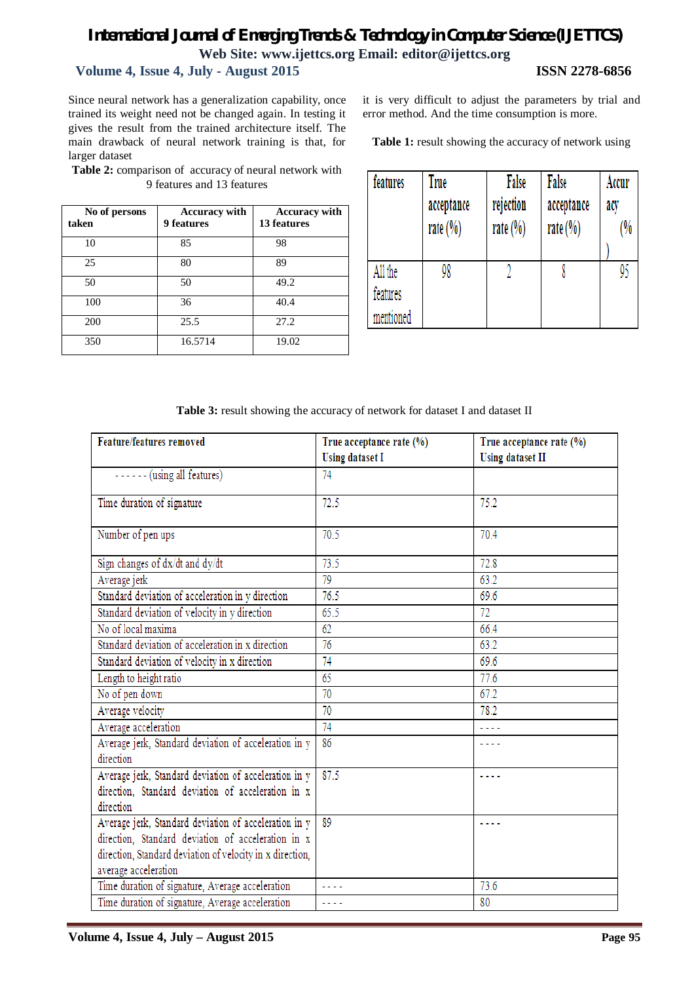## **Volume 4, Issue 4, July - August 2015 ISSN 2278-6856**

Since neural network has a generalization capability, once trained its weight need not be changed again. In testing it gives the result from the trained architecture itself. The main drawback of neural network training is that, for larger dataset

**Table 2:** comparison of accuracy of neural network with 9 features and 13 features

| No of persons<br>taken | <b>Accuracy with</b><br><b>9</b> features | <b>Accuracy with</b><br>13 features |
|------------------------|-------------------------------------------|-------------------------------------|
| 10                     | 85                                        | 98                                  |
| 25                     | 80                                        | 89                                  |
| 50                     | 50                                        | 49.2                                |
| 100                    | 36                                        | 40.4                                |
| 200                    | 25.5                                      | 27.2                                |
| 350                    | 16.5714                                   | 19.02                               |

it is very difficult to adjust the parameters by trial and error method. And the time consumption is more.

**Table 1:** result showing the accuracy of network using

| features                         | True         | False        | False        | Accur |
|----------------------------------|--------------|--------------|--------------|-------|
|                                  | acceptance   | rejection    | acceptance   | acy   |
|                                  | rate $(\% )$ | rate $(\% )$ | rate $(\% )$ | (%    |
| All the<br>features<br>mentioned | 98           |              |              | 95    |

### **Table 3:** result showing the accuracy of network for dataset I and dataset II

| Feature/features removed                                                                                                                                                                         | True acceptance rate (%) | True acceptance rate (%) |  |
|--------------------------------------------------------------------------------------------------------------------------------------------------------------------------------------------------|--------------------------|--------------------------|--|
|                                                                                                                                                                                                  | <b>Using dataset I</b>   | <b>Using dataset II</b>  |  |
| - - - - - - (using all features)                                                                                                                                                                 | 74                       |                          |  |
| Time duration of signature                                                                                                                                                                       | 72.5                     | 75.2                     |  |
| Number of pen ups                                                                                                                                                                                | 70.5                     | 70.4                     |  |
| Sign changes of dx/dt and dy/dt                                                                                                                                                                  | 73.5                     | 72.8                     |  |
| Average jerk                                                                                                                                                                                     | 79                       | 63.2                     |  |
| Standard deviation of acceleration in y direction                                                                                                                                                | 76.5                     | 69.6                     |  |
| Standard deviation of velocity in y direction                                                                                                                                                    | 65.5                     | 72                       |  |
| No of local maxima                                                                                                                                                                               | 62                       | 66.4                     |  |
| Standard deviation of acceleration in x direction                                                                                                                                                | 76                       | 63.2                     |  |
| Standard deviation of velocity in x direction                                                                                                                                                    | 74                       | 69.6                     |  |
| Length to height ratio                                                                                                                                                                           | 65                       | 77.6                     |  |
| No of pen down                                                                                                                                                                                   | 70                       | 67.2                     |  |
| Average velocity                                                                                                                                                                                 | 70                       | 78.2                     |  |
| Average acceleration                                                                                                                                                                             | 74                       | .                        |  |
| Average jerk, Standard deviation of acceleration in y<br>direction                                                                                                                               | 86                       | $  -$                    |  |
| Average jerk, Standard deviation of acceleration in y<br>direction. Standard deviation of acceleration in x<br>direction                                                                         | 87.5                     | $- - -$                  |  |
| Average jerk, Standard deviation of acceleration in y<br>direction. Standard deviation of acceleration in x<br>direction, Standard deviation of velocity in x direction,<br>average acceleration | 89                       | .                        |  |
| Time duration of signature, Average acceleration                                                                                                                                                 | .                        | 73.6                     |  |
| Time duration of signature, Average acceleration                                                                                                                                                 | ----                     | 80                       |  |